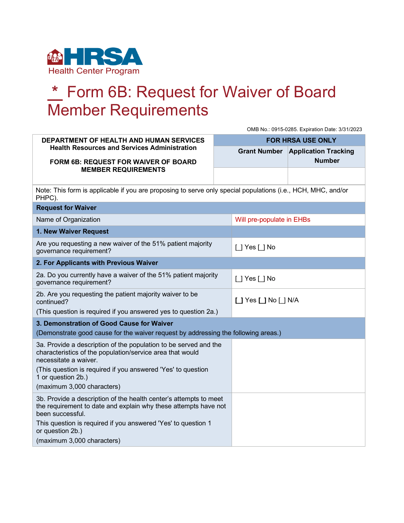

## **\*** Form 6B: Request for Waiver of Board Member Requirements

|                                                                                                                                                          | OMB No.: 0915-0285. Expiration Date: 3/31/2023                                                     |                             |
|----------------------------------------------------------------------------------------------------------------------------------------------------------|----------------------------------------------------------------------------------------------------|-----------------------------|
| DEPARTMENT OF HEALTH AND HUMAN SERVICES<br><b>Health Resources and Services Administration</b>                                                           | <b>FOR HRSA USE ONLY</b>                                                                           |                             |
|                                                                                                                                                          | <b>Grant Number</b>                                                                                | <b>Application Tracking</b> |
| FORM 6B: REQUEST FOR WAIVER OF BOARD<br><b>MEMBER REQUIREMENTS</b>                                                                                       |                                                                                                    | <b>Number</b>               |
|                                                                                                                                                          |                                                                                                    |                             |
| Note: This form is applicable if you are proposing to serve only special populations (i.e., HCH, MHC, and/or<br>PHPC).                                   |                                                                                                    |                             |
| <b>Request for Waiver</b>                                                                                                                                |                                                                                                    |                             |
| Name of Organization                                                                                                                                     | Will pre-populate in EHBs                                                                          |                             |
| 1. New Waiver Request                                                                                                                                    |                                                                                                    |                             |
| Are you requesting a new waiver of the 51% patient majority<br>governance requirement?                                                                   | [ ] Yes [ ] No                                                                                     |                             |
| 2. For Applicants with Previous Waiver                                                                                                                   |                                                                                                    |                             |
| 2a. Do you currently have a waiver of the 51% patient majority<br>governance requirement?                                                                | $\left[\begin{array}{c} 1 \end{array}\right]$ Yes $\left[\begin{array}{c} 1 \end{array}\right]$ No |                             |
| 2b. Are you requesting the patient majority waiver to be<br>continued?                                                                                   | $\Box$ Yes $\Box$ No $\Box$ N/A                                                                    |                             |
| (This question is required if you answered yes to question 2a.)                                                                                          |                                                                                                    |                             |
| 3. Demonstration of Good Cause for Waiver                                                                                                                |                                                                                                    |                             |
| (Demonstrate good cause for the waiver request by addressing the following areas.)                                                                       |                                                                                                    |                             |
| 3a. Provide a description of the population to be served and the<br>characteristics of the population/service area that would<br>necessitate a waiver.   |                                                                                                    |                             |
| (This question is required if you answered 'Yes' to question<br>1 or question 2b.)                                                                       |                                                                                                    |                             |
| (maximum 3,000 characters)                                                                                                                               |                                                                                                    |                             |
| 3b. Provide a description of the health center's attempts to meet<br>the requirement to date and explain why these attempts have not<br>been successful. |                                                                                                    |                             |
| This question is required if you answered 'Yes' to question 1<br>or question 2b.)                                                                        |                                                                                                    |                             |
| (maximum 3,000 characters)                                                                                                                               |                                                                                                    |                             |